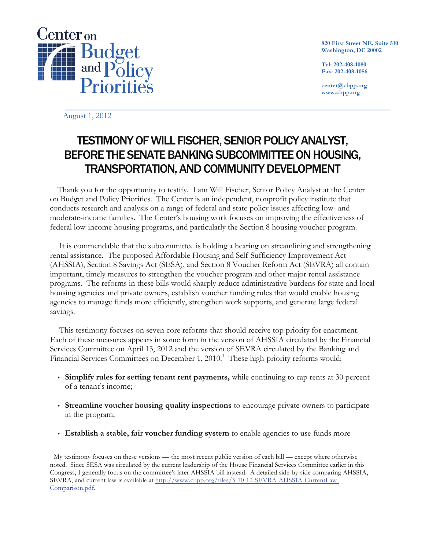

**820 First Street NE, Suite 510 Washington, DC 20002**

**Tel: 202-408-1080 Fax: 202-408-1056**

**center@cbpp.org www.cbpp.org**

August 1, 2012

# TESTIMONY OF WILL FISCHER, SENIOR POLICY ANALYST, BEFORE THE SENATE BANKING SUBCOMMITTEE ON HOUSING, TRANSPORTATION, AND COMMUNITY DEVELOPMENT

Thank you for the opportunity to testify. I am Will Fischer, Senior Policy Analyst at the Center on Budget and Policy Priorities. The Center is an independent, nonprofit policy institute that conducts research and analysis on a range of federal and state policy issues affecting low- and moderate-income families. The Center's housing work focuses on improving the effectiveness of federal low-income housing programs, and particularly the Section 8 housing voucher program.

It is commendable that the subcommittee is holding a hearing on streamlining and strengthening rental assistance. The proposed Affordable Housing and Self-Sufficiency Improvement Act (AHSSIA), Section 8 Savings Act (SESA), and Section 8 Voucher Reform Act (SEVRA) all contain important, timely measures to strengthen the voucher program and other major rental assistance programs. The reforms in these bills would sharply reduce administrative burdens for state and local housing agencies and private owners, establish voucher funding rules that would enable housing agencies to manage funds more efficiently, strengthen work supports, and generate large federal savings.

This testimony focuses on seven core reforms that should receive top priority for enactment. Each of these measures appears in some form in the version of AHSSIA circulated by the Financial Services Committee on April 13, 2012 and the version of SEVRA circulated by the Banking and Financial Services Committees on December 1, 2010.<sup>1</sup> These high-priority reforms would:

- **Simplify rules for setting tenant rent payments,** while continuing to cap rents at 30 percent of a tenant's income;
- **Streamline voucher housing quality inspections** to encourage private owners to participate in the program;
- **Establish a stable, fair voucher funding system** to enable agencies to use funds more

 <sup>1</sup> My testimony focuses on these versions — the most recent public version of each bill — except where otherwise noted. Since SESA was circulated by the current leadership of the House Financial Services Committee earlier in this Congress, I generally focus on the committee's later AHSSIA bill instead. A detailed side-by-side comparing AHSSIA, SEVRA, and current law is available at http://www.cbpp.org/files/5-10-12-SEVRA-AHSSIA-CurrentLaw-Comparison.pdf.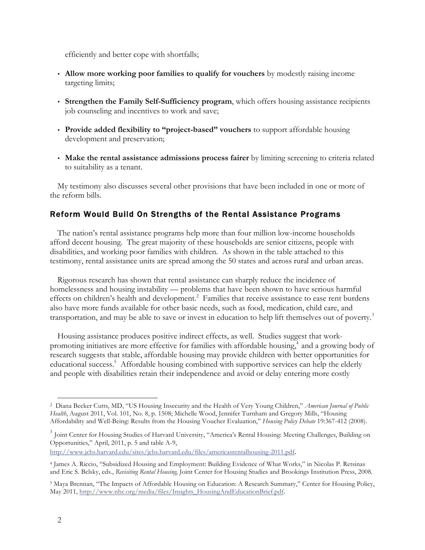efficiently and better cope with shortfalls;

- **Allow more working poor families to qualify for vouchers** by modestly raising income targeting limits;
- **Strengthen the Family Self-Sufficiency program**, which offers housing assistance recipients job counseling and incentives to work and save;
- **Provide added flexibility to "project-based" vouchers** to support affordable housing development and preservation;
- **Make the rental assistance admissions process fairer** by limiting screening to criteria related to suitability as a tenant.

My testimony also discusses several other provisions that have been included in one or more of the reform bills.

# Reform Would Build On Strengths of the Rental Assistance Programs

The nation's rental assistance programs help more than four million low-income households afford decent housing. The great majority of these households are senior citizens, people with disabilities, and working poor families with children. As shown in the table attached to this testimony, rental assistance units are spread among the 50 states and across rural and urban areas.

Rigorous research has shown that rental assistance can sharply reduce the incidence of homelessness and housing instability — problems that have been shown to have serious harmful effects on children's health and development.<sup>2</sup> Families that receive assistance to ease rent burdens also have more funds available for other basic needs, such as food, medication, child care, and transportation, and may be able to save or invest in education to help lift themselves out of poverty.<sup>3</sup>

Housing assistance produces positive indirect effects, as well. Studies suggest that workpromoting initiatives are more effective for families with affordable housing,<sup>4</sup> and a growing body of research suggests that stable, affordable housing may provide children with better opportunities for educational success.<sup>5</sup> Affordable housing combined with supportive services can help the elderly and people with disabilities retain their independence and avoid or delay entering more costly

http://www.jchs.harvard.edu/sites/jchs.harvard.edu/files/americasrentalhousing-2011.pdf.

 <sup>2</sup> Diana Becker Cutts, MD, "US Housing Insecurity and the Health of Very Young Children," *American Journal of Public Health*, August 2011, Vol. 101, No. 8, p. 1508; Michelle Wood, Jennifer Turnham and Gregory Mills, "Housing Affordability and Well-Being: Results from the Housing Voucher Evaluation," *Housing Policy Debate* 19:367-412 (2008).

<sup>&</sup>lt;sup>3</sup> Joint Center for Housing Studies of Harvard University, "America's Rental Housing: Meeting Challenges, Building on Opportunities," April, 2011, p. 5 and table A-9,

<sup>4</sup> James A. Riccio, "Subsidized Housing and Employment: Building Evidence of What Works," in Nicolas P. Retsinas and Eric S. Belsky, eds., *Revisiting Rental Housing,* Joint Center for Housing Studies and Brookings Institution Press, 2008.

<sup>5</sup> Maya Brennan, "The Impacts of Affordable Housing on Education: A Research Summary," Center for Housing Policy, May 2011, http://www.nhc.org/media/files/Insights\_HousingAndEducationBrief.pdf.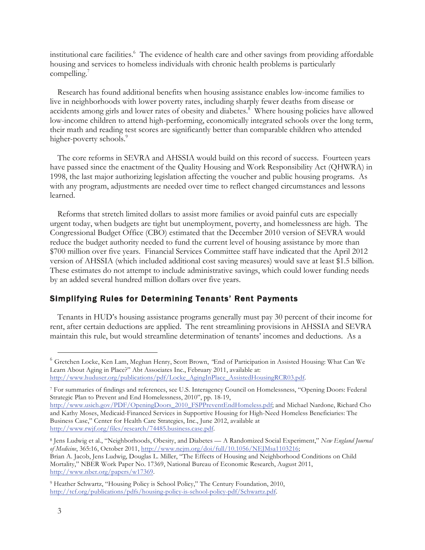institutional care facilities.<sup>6</sup> The evidence of health care and other savings from providing affordable housing and services to homeless individuals with chronic health problems is particularly compelling. $7$ 

Research has found additional benefits when housing assistance enables low-income families to live in neighborhoods with lower poverty rates, including sharply fewer deaths from disease or accidents among girls and lower rates of obesity and diabetes.<sup>8</sup> Where housing policies have allowed low-income children to attend high-performing, economically integrated schools over the long term, their math and reading test scores are significantly better than comparable children who attended higher-poverty schools.<sup>9</sup>

The core reforms in SEVRA and AHSSIA would build on this record of success. Fourteen years have passed since the enactment of the Quality Housing and Work Responsibility Act (QHWRA) in 1998, the last major authorizing legislation affecting the voucher and public housing programs. As with any program, adjustments are needed over time to reflect changed circumstances and lessons learned.

Reforms that stretch limited dollars to assist more families or avoid painful cuts are especially urgent today, when budgets are tight but unemployment, poverty, and homelessness are high. The Congressional Budget Office (CBO) estimated that the December 2010 version of SEVRA would reduce the budget authority needed to fund the current level of housing assistance by more than \$700 million over five years. Financial Services Committee staff have indicated that the April 2012 version of AHSSIA (which included additional cost saving measures) would save at least \$1.5 billion. These estimates do not attempt to include administrative savings, which could lower funding needs by an added several hundred million dollars over five years.

# Simplifying Rules for Determining Tenants' Rent Payments

Tenants in HUD's housing assistance programs generally must pay 30 percent of their income for rent, after certain deductions are applied. The rent streamlining provisions in AHSSIA and SEVRA maintain this rule, but would streamline determination of tenants' incomes and deductions. As a

<sup>7</sup> For summaries of findings and references, see U.S. Interagency Council on Homelessness, "Opening Doors: Federal Strategic Plan to Prevent and End Homelessness, 2010", pp. 18-19,

 <sup>6</sup> Gretchen Locke, Ken Lam, Meghan Henry, Scott Brown, *"*End of Participation in Assisted Housing: What Can We Learn About Aging in Place?" Abt Associates Inc., February 2011, available at: http://www.huduser.org/publications/pdf/Locke\_AgingInPlace\_AssistedHousingRCR03.pdf.

http://www.usich.gov/PDF/OpeningDoors\_2010\_FSPPreventEndHomeless.pdf; and Michael Nardone, Richard Cho and Kathy Moses, Medicaid-Financed Services in Supportive Housing for High-Need Homeless Beneficiaries: The Business Case," Center for Health Care Strategies, Inc., June 2012, available at http://www.rwjf.org/files/research/74485.business.case.pdf.

<sup>8</sup> Jens Ludwig et al., "Neighborhoods, Obesity, and Diabetes — A Randomized Social Experiment," *New England Journal of Medicine*, 365:16, October 2011, http://www.nejm.org/doi/full/10.1056/NEJMsa1103216; Brian A. Jacob, Jens Ludwig, Douglas L. Miller, "The Effects of Housing and Neighborhood Conditions on Child Mortality," NBER Work Paper No. 17369, National Bureau of Economic Research, August 2011, http://www.nber.org/papers/w17369.

<sup>9</sup> Heather Schwartz, "Housing Policy is School Policy," The Century Foundation, 2010, http://tcf.org/publications/pdfs/housing-policy-is-school-policy-pdf/Schwartz.pdf.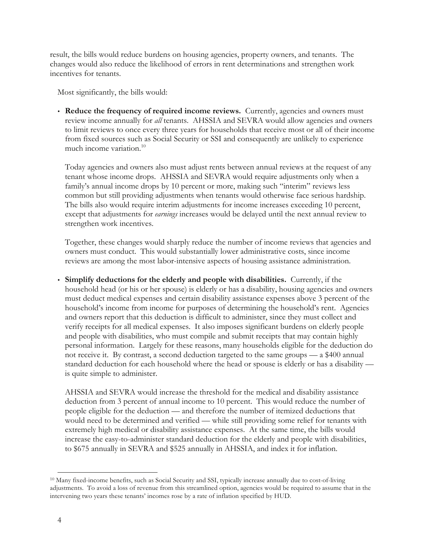result, the bills would reduce burdens on housing agencies, property owners, and tenants. The changes would also reduce the likelihood of errors in rent determinations and strengthen work incentives for tenants.

Most significantly, the bills would:

 **Reduce the frequency of required income reviews.** Currently, agencies and owners must review income annually for *all* tenants. AHSSIA and SEVRA would allow agencies and owners to limit reviews to once every three years for households that receive most or all of their income from fixed sources such as Social Security or SSI and consequently are unlikely to experience much income variation. $10$ 

Today agencies and owners also must adjust rents between annual reviews at the request of any tenant whose income drops. AHSSIA and SEVRA would require adjustments only when a family's annual income drops by 10 percent or more, making such "interim" reviews less common but still providing adjustments when tenants would otherwise face serious hardship. The bills also would require interim adjustments for income increases exceeding 10 percent, except that adjustments for *earnings* increases would be delayed until the next annual review to strengthen work incentives.

Together, these changes would sharply reduce the number of income reviews that agencies and owners must conduct. This would substantially lower administrative costs, since income reviews are among the most labor-intensive aspects of housing assistance administration.

 **Simplify deductions for the elderly and people with disabilities.** Currently, if the household head (or his or her spouse) is elderly or has a disability, housing agencies and owners must deduct medical expenses and certain disability assistance expenses above 3 percent of the household's income from income for purposes of determining the household's rent. Agencies and owners report that this deduction is difficult to administer, since they must collect and verify receipts for all medical expenses. It also imposes significant burdens on elderly people and people with disabilities, who must compile and submit receipts that may contain highly personal information. Largely for these reasons, many households eligible for the deduction do not receive it. By contrast, a second deduction targeted to the same groups — a \$400 annual standard deduction for each household where the head or spouse is elderly or has a disability is quite simple to administer.

AHSSIA and SEVRA would increase the threshold for the medical and disability assistance deduction from 3 percent of annual income to 10 percent. This would reduce the number of people eligible for the deduction — and therefore the number of itemized deductions that would need to be determined and verified — while still providing some relief for tenants with extremely high medical or disability assistance expenses. At the same time, the bills would increase the easy-to-administer standard deduction for the elderly and people with disabilities, to \$675 annually in SEVRA and \$525 annually in AHSSIA, and index it for inflation.

 <sup>10</sup> Many fixed-income benefits, such as Social Security and SSI, typically increase annually due to cost-of-living adjustments. To avoid a loss of revenue from this streamlined option, agencies would be required to assume that in the intervening two years these tenants' incomes rose by a rate of inflation specified by HUD.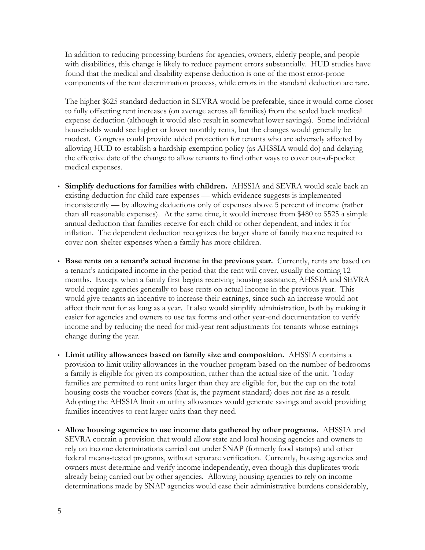In addition to reducing processing burdens for agencies, owners, elderly people, and people with disabilities, this change is likely to reduce payment errors substantially. HUD studies have found that the medical and disability expense deduction is one of the most error-prone components of the rent determination process, while errors in the standard deduction are rare.

The higher \$625 standard deduction in SEVRA would be preferable, since it would come closer to fully offsetting rent increases (on average across all families) from the scaled back medical expense deduction (although it would also result in somewhat lower savings). Some individual households would see higher or lower monthly rents, but the changes would generally be modest. Congress could provide added protection for tenants who are adversely affected by allowing HUD to establish a hardship exemption policy (as AHSSIA would do) and delaying the effective date of the change to allow tenants to find other ways to cover out-of-pocket medical expenses.

- **Simplify deductions for families with children.** AHSSIA and SEVRA would scale back an existing deduction for child care expenses — which evidence suggests is implemented inconsistently — by allowing deductions only of expenses above 5 percent of income (rather than all reasonable expenses). At the same time, it would increase from \$480 to \$525 a simple annual deduction that families receive for each child or other dependent, and index it for inflation. The dependent deduction recognizes the larger share of family income required to cover non-shelter expenses when a family has more children.
- **Base rents on a tenant's actual income in the previous year.** Currently, rents are based on a tenant's anticipated income in the period that the rent will cover, usually the coming 12 months. Except when a family first begins receiving housing assistance, AHSSIA and SEVRA would require agencies generally to base rents on actual income in the previous year. This would give tenants an incentive to increase their earnings, since such an increase would not affect their rent for as long as a year. It also would simplify administration, both by making it easier for agencies and owners to use tax forms and other year-end documentation to verify income and by reducing the need for mid-year rent adjustments for tenants whose earnings change during the year.
- **Limit utility allowances based on family size and composition.** AHSSIA contains a provision to limit utility allowances in the voucher program based on the number of bedrooms a family is eligible for given its composition, rather than the actual size of the unit. Today families are permitted to rent units larger than they are eligible for, but the cap on the total housing costs the voucher covers (that is, the payment standard) does not rise as a result. Adopting the AHSSIA limit on utility allowances would generate savings and avoid providing families incentives to rent larger units than they need.
- **Allow housing agencies to use income data gathered by other programs.** AHSSIA and SEVRA contain a provision that would allow state and local housing agencies and owners to rely on income determinations carried out under SNAP (formerly food stamps) and other federal means-tested programs, without separate verification. Currently, housing agencies and owners must determine and verify income independently, even though this duplicates work already being carried out by other agencies. Allowing housing agencies to rely on income determinations made by SNAP agencies would ease their administrative burdens considerably,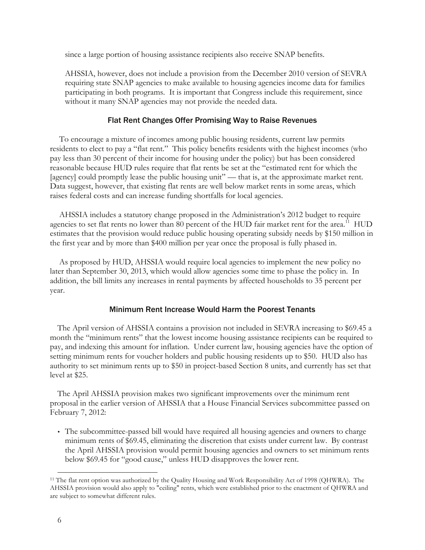since a large portion of housing assistance recipients also receive SNAP benefits.

AHSSIA, however, does not include a provision from the December 2010 version of SEVRA requiring state SNAP agencies to make available to housing agencies income data for families participating in both programs. It is important that Congress include this requirement, since without it many SNAP agencies may not provide the needed data.

# Flat Rent Changes Offer Promising Way to Raise Revenues

To encourage a mixture of incomes among public housing residents, current law permits residents to elect to pay a "flat rent." This policy benefits residents with the highest incomes (who pay less than 30 percent of their income for housing under the policy) but has been considered reasonable because HUD rules require that flat rents be set at the "estimated rent for which the [agency] could promptly lease the public housing unit" — that is, at the approximate market rent. Data suggest, however, that existing flat rents are well below market rents in some areas, which raises federal costs and can increase funding shortfalls for local agencies.

AHSSIA includes a statutory change proposed in the Administration's 2012 budget to require agencies to set flat rents no lower than 80 percent of the HUD fair market rent for the area.<sup>11</sup> HUD estimates that the provision would reduce public housing operating subsidy needs by \$150 million in the first year and by more than \$400 million per year once the proposal is fully phased in.

As proposed by HUD, AHSSIA would require local agencies to implement the new policy no later than September 30, 2013, which would allow agencies some time to phase the policy in. In addition, the bill limits any increases in rental payments by affected households to 35 percent per year.

## Minimum Rent Increase Would Harm the Poorest Tenants

The April version of AHSSIA contains a provision not included in SEVRA increasing to \$69.45 a month the "minimum rents" that the lowest income housing assistance recipients can be required to pay, and indexing this amount for inflation. Under current law, housing agencies have the option of setting minimum rents for voucher holders and public housing residents up to \$50. HUD also has authority to set minimum rents up to \$50 in project-based Section 8 units, and currently has set that level at \$25.

The April AHSSIA provision makes two significant improvements over the minimum rent proposal in the earlier version of AHSSIA that a House Financial Services subcommittee passed on February 7, 2012:

 The subcommittee-passed bill would have required all housing agencies and owners to charge minimum rents of \$69.45, eliminating the discretion that exists under current law. By contrast the April AHSSIA provision would permit housing agencies and owners to set minimum rents below \$69.45 for "good cause," unless HUD disapproves the lower rent.

 <sup>11</sup> The flat rent option was authorized by the Quality Housing and Work Responsibility Act of 1998 (QHWRA). The AHSSIA provision would also apply to "ceiling" rents, which were established prior to the enactment of QHWRA and are subject to somewhat different rules.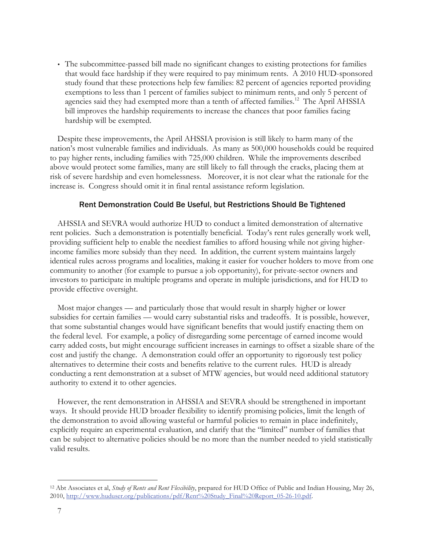The subcommittee-passed bill made no significant changes to existing protections for families that would face hardship if they were required to pay minimum rents. A 2010 HUD-sponsored study found that these protections help few families: 82 percent of agencies reported providing exemptions to less than 1 percent of families subject to minimum rents, and only 5 percent of agencies said they had exempted more than a tenth of affected families.<sup>12</sup> The April AHSSIA bill improves the hardship requirements to increase the chances that poor families facing hardship will be exempted.

Despite these improvements, the April AHSSIA provision is still likely to harm many of the nation's most vulnerable families and individuals. As many as 500,000 households could be required to pay higher rents, including families with 725,000 children. While the improvements described above would protect some families, many are still likely to fall through the cracks, placing them at risk of severe hardship and even homelessness. Moreover, it is not clear what the rationale for the increase is. Congress should omit it in final rental assistance reform legislation.

## Rent Demonstration Could Be Useful, but Restrictions Should Be Tightened

AHSSIA and SEVRA would authorize HUD to conduct a limited demonstration of alternative rent policies. Such a demonstration is potentially beneficial. Today's rent rules generally work well, providing sufficient help to enable the neediest families to afford housing while not giving higherincome families more subsidy than they need. In addition, the current system maintains largely identical rules across programs and localities, making it easier for voucher holders to move from one community to another (for example to pursue a job opportunity), for private-sector owners and investors to participate in multiple programs and operate in multiple jurisdictions, and for HUD to provide effective oversight.

Most major changes — and particularly those that would result in sharply higher or lower subsidies for certain families — would carry substantial risks and tradeoffs. It is possible, however, that some substantial changes would have significant benefits that would justify enacting them on the federal level. For example, a policy of disregarding some percentage of earned income would carry added costs, but might encourage sufficient increases in earnings to offset a sizable share of the cost and justify the change. A demonstration could offer an opportunity to rigorously test policy alternatives to determine their costs and benefits relative to the current rules. HUD is already conducting a rent demonstration at a subset of MTW agencies, but would need additional statutory authority to extend it to other agencies.

However, the rent demonstration in AHSSIA and SEVRA should be strengthened in important ways. It should provide HUD broader flexibility to identify promising policies, limit the length of the demonstration to avoid allowing wasteful or harmful policies to remain in place indefinitely, explicitly require an experimental evaluation, and clarify that the "limited" number of families that can be subject to alternative policies should be no more than the number needed to yield statistically valid results.

 <sup>12</sup> Abt Associates et al, *Study of Rents and Rent Flexibility*, prepared for HUD Office of Public and Indian Housing, May 26, 2010, http://www.huduser.org/publications/pdf/Rent%20Study\_Final%20Report\_05-26-10.pdf.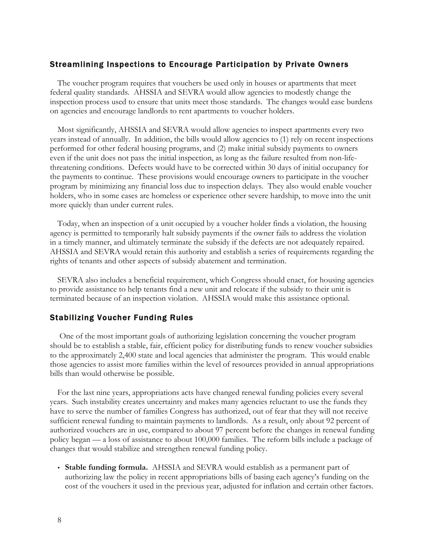## Streamlining Inspections to Encourage Participation by Private Owners

The voucher program requires that vouchers be used only in houses or apartments that meet federal quality standards. AHSSIA and SEVRA would allow agencies to modestly change the inspection process used to ensure that units meet those standards. The changes would ease burdens on agencies and encourage landlords to rent apartments to voucher holders.

Most significantly, AHSSIA and SEVRA would allow agencies to inspect apartments every two years instead of annually. In addition, the bills would allow agencies to (1) rely on recent inspections performed for other federal housing programs, and (2) make initial subsidy payments to owners even if the unit does not pass the initial inspection, as long as the failure resulted from non-lifethreatening conditions. Defects would have to be corrected within 30 days of initial occupancy for the payments to continue. These provisions would encourage owners to participate in the voucher program by minimizing any financial loss due to inspection delays. They also would enable voucher holders, who in some cases are homeless or experience other severe hardship, to move into the unit more quickly than under current rules.

Today, when an inspection of a unit occupied by a voucher holder finds a violation, the housing agency is permitted to temporarily halt subsidy payments if the owner fails to address the violation in a timely manner, and ultimately terminate the subsidy if the defects are not adequately repaired. AHSSIA and SEVRA would retain this authority and establish a series of requirements regarding the rights of tenants and other aspects of subsidy abatement and termination.

SEVRA also includes a beneficial requirement, which Congress should enact, for housing agencies to provide assistance to help tenants find a new unit and relocate if the subsidy to their unit is terminated because of an inspection violation. AHSSIA would make this assistance optional.

# Stabilizing Voucher Funding Rules

One of the most important goals of authorizing legislation concerning the voucher program should be to establish a stable, fair, efficient policy for distributing funds to renew voucher subsidies to the approximately 2,400 state and local agencies that administer the program. This would enable those agencies to assist more families within the level of resources provided in annual appropriations bills than would otherwise be possible.

For the last nine years, appropriations acts have changed renewal funding policies every several years. Such instability creates uncertainty and makes many agencies reluctant to use the funds they have to serve the number of families Congress has authorized, out of fear that they will not receive sufficient renewal funding to maintain payments to landlords. As a result, only about 92 percent of authorized vouchers are in use, compared to about 97 percent before the changes in renewal funding policy began — a loss of assistance to about 100,000 families. The reform bills include a package of changes that would stabilize and strengthen renewal funding policy.

 **Stable funding formula.** AHSSIA and SEVRA would establish as a permanent part of authorizing law the policy in recent appropriations bills of basing each agency's funding on the cost of the vouchers it used in the previous year, adjusted for inflation and certain other factors.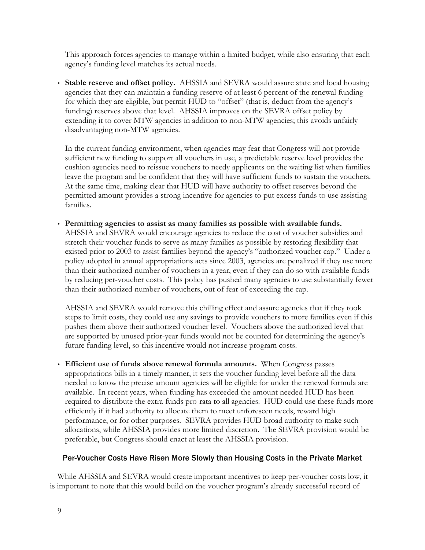This approach forces agencies to manage within a limited budget, while also ensuring that each agency's funding level matches its actual needs.

 **Stable reserve and offset policy.** AHSSIA and SEVRA would assure state and local housing agencies that they can maintain a funding reserve of at least 6 percent of the renewal funding for which they are eligible, but permit HUD to "offset" (that is, deduct from the agency's funding) reserves above that level. AHSSIA improves on the SEVRA offset policy by extending it to cover MTW agencies in addition to non-MTW agencies; this avoids unfairly disadvantaging non-MTW agencies.

In the current funding environment, when agencies may fear that Congress will not provide sufficient new funding to support all vouchers in use, a predictable reserve level provides the cushion agencies need to reissue vouchers to needy applicants on the waiting list when families leave the program and be confident that they will have sufficient funds to sustain the vouchers. At the same time, making clear that HUD will have authority to offset reserves beyond the permitted amount provides a strong incentive for agencies to put excess funds to use assisting families.

 **Permitting agencies to assist as many families as possible with available funds.**  AHSSIA and SEVRA would encourage agencies to reduce the cost of voucher subsidies and stretch their voucher funds to serve as many families as possible by restoring flexibility that existed prior to 2003 to assist families beyond the agency's "authorized voucher cap." Under a policy adopted in annual appropriations acts since 2003, agencies are penalized if they use more than their authorized number of vouchers in a year, even if they can do so with available funds by reducing per-voucher costs. This policy has pushed many agencies to use substantially fewer than their authorized number of vouchers, out of fear of exceeding the cap.

AHSSIA and SEVRA would remove this chilling effect and assure agencies that if they took steps to limit costs, they could use any savings to provide vouchers to more families even if this pushes them above their authorized voucher level. Vouchers above the authorized level that are supported by unused prior-year funds would not be counted for determining the agency's future funding level, so this incentive would not increase program costs.

 **Efficient use of funds above renewal formula amounts.** When Congress passes appropriations bills in a timely manner, it sets the voucher funding level before all the data needed to know the precise amount agencies will be eligible for under the renewal formula are available. In recent years, when funding has exceeded the amount needed HUD has been required to distribute the extra funds pro-rata to all agencies. HUD could use these funds more efficiently if it had authority to allocate them to meet unforeseen needs, reward high performance, or for other purposes. SEVRA provides HUD broad authority to make such allocations, while AHSSIA provides more limited discretion. The SEVRA provision would be preferable, but Congress should enact at least the AHSSIA provision.

# Per-Voucher Costs Have Risen More Slowly than Housing Costs in the Private Market

While AHSSIA and SEVRA would create important incentives to keep per-voucher costs low, it is important to note that this would build on the voucher program's already successful record of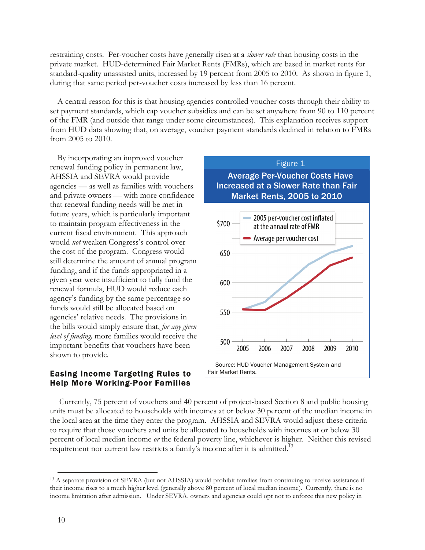restraining costs. Per-voucher costs have generally risen at a *slower rate* than housing costs in the private market. HUD-determined Fair Market Rents (FMRs), which are based in market rents for standard-quality unassisted units, increased by 19 percent from 2005 to 2010. As shown in figure 1, during that same period per-voucher costs increased by less than 16 percent.

A central reason for this is that housing agencies controlled voucher costs through their ability to set payment standards, which cap voucher subsidies and can be set anywhere from 90 to 110 percent of the FMR (and outside that range under some circumstances). This explanation receives support from HUD data showing that, on average, voucher payment standards declined in relation to FMRs from 2005 to 2010.

By incorporating an improved voucher renewal funding policy in permanent law, AHSSIA and SEVRA would provide agencies — as well as families with vouchers and private owners — with more confidence that renewal funding needs will be met in future years, which is particularly important to maintain program effectiveness in the current fiscal environment. This approach would *not* weaken Congress's control over the cost of the program. Congress would still determine the amount of annual program funding, and if the funds appropriated in a given year were insufficient to fully fund the renewal formula, HUD would reduce each agency's funding by the same percentage so funds would still be allocated based on agencies' relative needs. The provisions in the bills would simply ensure that, *for any given level of funding,* more families would receive the important benefits that vouchers have been shown to provide.

# Easing Income Targeting Rules to Help More Working-Poor Families



Currently, 75 percent of vouchers and 40 percent of project-based Section 8 and public housing units must be allocated to households with incomes at or below 30 percent of the median income in the local area at the time they enter the program. AHSSIA and SEVRA would adjust these criteria to require that those vouchers and units be allocated to households with incomes at or below 30 percent of local median income *or* the federal poverty line, whichever is higher. Neither this revised requirement nor current law restricts a family's income after it is admitted.<sup>13</sup>

 <sup>13</sup> <sup>A</sup> separate provision of SEVRA (but not AHSSIA) would prohibit families from continuing to receive assistance if their income rises to a much higher level (generally above 80 percent of local median income). Currently, there is no income limitation after admission. Under SEVRA, owners and agencies could opt not to enforce this new policy in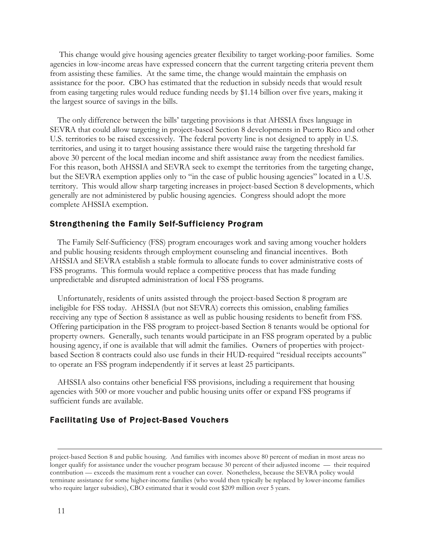This change would give housing agencies greater flexibility to target working-poor families. Some agencies in low-income areas have expressed concern that the current targeting criteria prevent them from assisting these families. At the same time, the change would maintain the emphasis on assistance for the poor. CBO has estimated that the reduction in subsidy needs that would result from easing targeting rules would reduce funding needs by \$1.14 billion over five years, making it the largest source of savings in the bills.

The only difference between the bills' targeting provisions is that AHSSIA fixes language in SEVRA that could allow targeting in project-based Section 8 developments in Puerto Rico and other U.S. territories to be raised excessively. The federal poverty line is not designed to apply in U.S. territories, and using it to target housing assistance there would raise the targeting threshold far above 30 percent of the local median income and shift assistance away from the neediest families. For this reason, both AHSSIA and SEVRA seek to exempt the territories from the targeting change, but the SEVRA exemption applies only to "in the case of public housing agencies" located in a U.S. territory. This would allow sharp targeting increases in project-based Section 8 developments, which generally are not administered by public housing agencies. Congress should adopt the more complete AHSSIA exemption.

#### Strengthening the Family Self-Sufficiency Program

The Family Self-Sufficiency (FSS) program encourages work and saving among voucher holders and public housing residents through employment counseling and financial incentives. Both AHSSIA and SEVRA establish a stable formula to allocate funds to cover administrative costs of FSS programs. This formula would replace a competitive process that has made funding unpredictable and disrupted administration of local FSS programs.

Unfortunately, residents of units assisted through the project-based Section 8 program are ineligible for FSS today. AHSSIA (but not SEVRA) corrects this omission, enabling families receiving any type of Section 8 assistance as well as public housing residents to benefit from FSS. Offering participation in the FSS program to project-based Section 8 tenants would be optional for property owners. Generally, such tenants would participate in an FSS program operated by a public housing agency, if one is available that will admit the families. Owners of properties with projectbased Section 8 contracts could also use funds in their HUD-required "residual receipts accounts" to operate an FSS program independently if it serves at least 25 participants.

AHSSIA also contains other beneficial FSS provisions, including a requirement that housing agencies with 500 or more voucher and public housing units offer or expand FSS programs if sufficient funds are available.

# Facilitating Use of Project-Based Vouchers

project-based Section 8 and public housing. And families with incomes above 80 percent of median in most areas no longer qualify for assistance under the voucher program because 30 percent of their adjusted income — their required contribution — exceeds the maximum rent a voucher can cover. Nonetheless, because the SEVRA policy would terminate assistance for some higher-income families (who would then typically be replaced by lower-income families who require larger subsidies), CBO estimated that it would cost \$209 million over 5 years.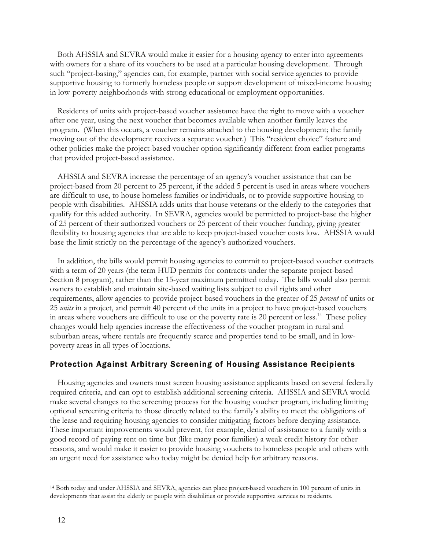Both AHSSIA and SEVRA would make it easier for a housing agency to enter into agreements with owners for a share of its vouchers to be used at a particular housing development. Through such "project-basing," agencies can, for example, partner with social service agencies to provide supportive housing to formerly homeless people or support development of mixed-income housing in low-poverty neighborhoods with strong educational or employment opportunities.

Residents of units with project-based voucher assistance have the right to move with a voucher after one year, using the next voucher that becomes available when another family leaves the program. (When this occurs, a voucher remains attached to the housing development; the family moving out of the development receives a separate voucher.) This "resident choice" feature and other policies make the project-based voucher option significantly different from earlier programs that provided project-based assistance.

AHSSIA and SEVRA increase the percentage of an agency's voucher assistance that can be project-based from 20 percent to 25 percent, if the added 5 percent is used in areas where vouchers are difficult to use, to house homeless families or individuals, or to provide supportive housing to people with disabilities. AHSSIA adds units that house veterans or the elderly to the categories that qualify for this added authority. In SEVRA, agencies would be permitted to project-base the higher of 25 percent of their authorized vouchers or 25 percent of their voucher funding, giving greater flexibility to housing agencies that are able to keep project-based voucher costs low. AHSSIA would base the limit strictly on the percentage of the agency's authorized vouchers.

In addition, the bills would permit housing agencies to commit to project-based voucher contracts with a term of 20 years (the term HUD permits for contracts under the separate project-based Section 8 program), rather than the 15-year maximum permitted today. The bills would also permit owners to establish and maintain site-based waiting lists subject to civil rights and other requirements, allow agencies to provide project-based vouchers in the greater of 25 *percent* of units or 25 *units* in a project, and permit 40 percent of the units in a project to have project-based vouchers in areas where vouchers are difficult to use or the poverty rate is 20 percent or less.14 These policy changes would help agencies increase the effectiveness of the voucher program in rural and suburban areas, where rentals are frequently scarce and properties tend to be small, and in lowpoverty areas in all types of locations.

# Protection Against Arbitrary Screening of Housing Assistance Recipients

Housing agencies and owners must screen housing assistance applicants based on several federally required criteria, and can opt to establish additional screening criteria. AHSSIA and SEVRA would make several changes to the screening process for the housing voucher program, including limiting optional screening criteria to those directly related to the family's ability to meet the obligations of the lease and requiring housing agencies to consider mitigating factors before denying assistance. These important improvements would prevent, for example, denial of assistance to a family with a good record of paying rent on time but (like many poor families) a weak credit history for other reasons, and would make it easier to provide housing vouchers to homeless people and others with an urgent need for assistance who today might be denied help for arbitrary reasons.

 <sup>14</sup> Both today and under AHSSIA and SEVRA, agencies can place project-based vouchers in 100 percent of units in developments that assist the elderly or people with disabilities or provide supportive services to residents.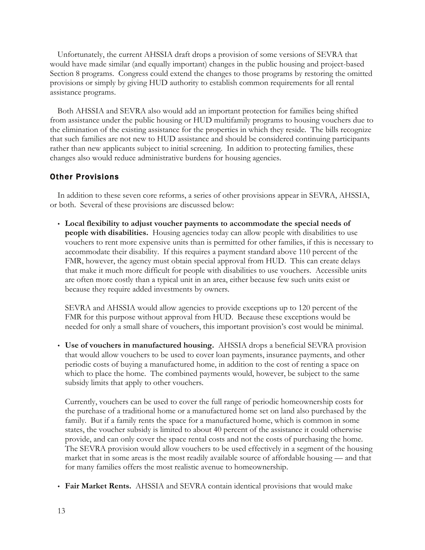Unfortunately, the current AHSSIA draft drops a provision of some versions of SEVRA that would have made similar (and equally important) changes in the public housing and project-based Section 8 programs. Congress could extend the changes to those programs by restoring the omitted provisions or simply by giving HUD authority to establish common requirements for all rental assistance programs.

Both AHSSIA and SEVRA also would add an important protection for families being shifted from assistance under the public housing or HUD multifamily programs to housing vouchers due to the elimination of the existing assistance for the properties in which they reside. The bills recognize that such families are not new to HUD assistance and should be considered continuing participants rather than new applicants subject to initial screening. In addition to protecting families, these changes also would reduce administrative burdens for housing agencies.

# Other Provisions

In addition to these seven core reforms, a series of other provisions appear in SEVRA, AHSSIA, or both. Several of these provisions are discussed below:

 **Local flexibility to adjust voucher payments to accommodate the special needs of people with disabilities.** Housing agencies today can allow people with disabilities to use vouchers to rent more expensive units than is permitted for other families, if this is necessary to accommodate their disability. If this requires a payment standard above 110 percent of the FMR, however, the agency must obtain special approval from HUD. This can create delays that make it much more difficult for people with disabilities to use vouchers. Accessible units are often more costly than a typical unit in an area, either because few such units exist or because they require added investments by owners.

SEVRA and AHSSIA would allow agencies to provide exceptions up to 120 percent of the FMR for this purpose without approval from HUD. Because these exceptions would be needed for only a small share of vouchers, this important provision's cost would be minimal.

 **Use of vouchers in manufactured housing.** AHSSIA drops a beneficial SEVRA provision that would allow vouchers to be used to cover loan payments, insurance payments, and other periodic costs of buying a manufactured home, in addition to the cost of renting a space on which to place the home. The combined payments would, however, be subject to the same subsidy limits that apply to other vouchers.

Currently, vouchers can be used to cover the full range of periodic homeownership costs for the purchase of a traditional home or a manufactured home set on land also purchased by the family. But if a family rents the space for a manufactured home, which is common in some states, the voucher subsidy is limited to about 40 percent of the assistance it could otherwise provide, and can only cover the space rental costs and not the costs of purchasing the home. The SEVRA provision would allow vouchers to be used effectively in a segment of the housing market that in some areas is the most readily available source of affordable housing — and that for many families offers the most realistic avenue to homeownership.

**Fair Market Rents.** AHSSIA and SEVRA contain identical provisions that would make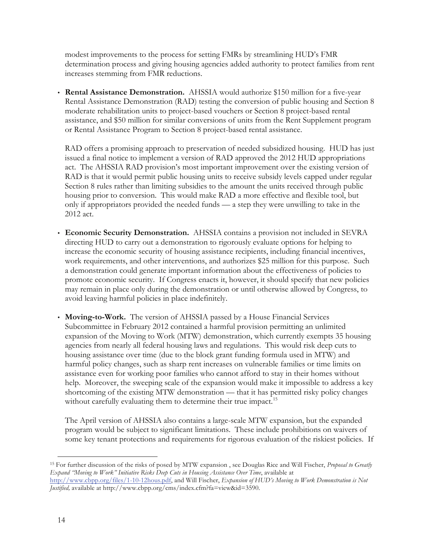modest improvements to the process for setting FMRs by streamlining HUD's FMR determination process and giving housing agencies added authority to protect families from rent increases stemming from FMR reductions.

 **Rental Assistance Demonstration.** AHSSIA would authorize \$150 million for a five-year Rental Assistance Demonstration (RAD) testing the conversion of public housing and Section 8 moderate rehabilitation units to project-based vouchers or Section 8 project-based rental assistance, and \$50 million for similar conversions of units from the Rent Supplement program or Rental Assistance Program to Section 8 project-based rental assistance.

RAD offers a promising approach to preservation of needed subsidized housing. HUD has just issued a final notice to implement a version of RAD approved the 2012 HUD appropriations act. The AHSSIA RAD provision's most important improvement over the existing version of RAD is that it would permit public housing units to receive subsidy levels capped under regular Section 8 rules rather than limiting subsidies to the amount the units received through public housing prior to conversion. This would make RAD a more effective and flexible tool, but only if appropriators provided the needed funds — a step they were unwilling to take in the 2012 act.

- **Economic Security Demonstration.** AHSSIA contains a provision not included in SEVRA directing HUD to carry out a demonstration to rigorously evaluate options for helping to increase the economic security of housing assistance recipients, including financial incentives, work requirements, and other interventions, and authorizes \$25 million for this purpose. Such a demonstration could generate important information about the effectiveness of policies to promote economic security. If Congress enacts it, however, it should specify that new policies may remain in place only during the demonstration or until otherwise allowed by Congress, to avoid leaving harmful policies in place indefinitely.
- **Moving-to-Work.** The version of AHSSIA passed by a House Financial Services Subcommittee in February 2012 contained a harmful provision permitting an unlimited expansion of the Moving to Work (MTW) demonstration, which currently exempts 35 housing agencies from nearly all federal housing laws and regulations. This would risk deep cuts to housing assistance over time (due to the block grant funding formula used in MTW) and harmful policy changes, such as sharp rent increases on vulnerable families or time limits on assistance even for working poor families who cannot afford to stay in their homes without help. Moreover, the sweeping scale of the expansion would make it impossible to address a key shortcoming of the existing MTW demonstration — that it has permitted risky policy changes without carefully evaluating them to determine their true impact.<sup>15</sup>

The April version of AHSSIA also contains a large-scale MTW expansion, but the expanded program would be subject to significant limitations. These include prohibitions on waivers of some key tenant protections and requirements for rigorous evaluation of the riskiest policies. If

 <sup>15</sup> For further discussion of the risks of posed by MTW expansion , see Douglas Rice and Will Fischer, *Proposal to Greatly Expand "Moving to Work" Initiative Risks Deep Cuts in Housing Assistance Over Time*, available at

http://www.cbpp.org/files/1-10-12hous.pdf, and Will Fischer, *Expansion of HUD's Moving to Work Demonstration is Not Justified,* available at http://www.cbpp.org/cms/index.cfm?fa=view&id=3590.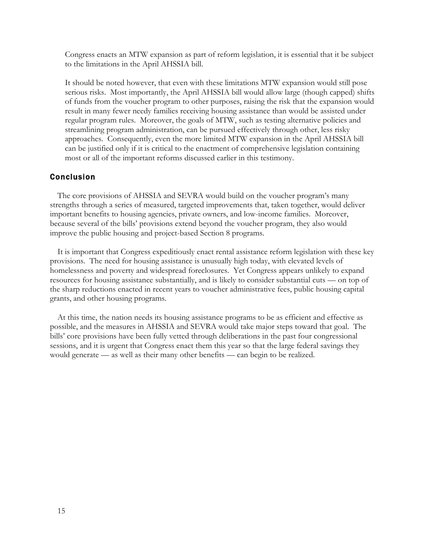Congress enacts an MTW expansion as part of reform legislation, it is essential that it be subject to the limitations in the April AHSSIA bill.

It should be noted however, that even with these limitations MTW expansion would still pose serious risks. Most importantly, the April AHSSIA bill would allow large (though capped) shifts of funds from the voucher program to other purposes, raising the risk that the expansion would result in many fewer needy families receiving housing assistance than would be assisted under regular program rules. Moreover, the goals of MTW, such as testing alternative policies and streamlining program administration, can be pursued effectively through other, less risky approaches. Consequently, even the more limited MTW expansion in the April AHSSIA bill can be justified only if it is critical to the enactment of comprehensive legislation containing most or all of the important reforms discussed earlier in this testimony.

# Conclusion

The core provisions of AHSSIA and SEVRA would build on the voucher program's many strengths through a series of measured, targeted improvements that, taken together, would deliver important benefits to housing agencies, private owners, and low-income families. Moreover, because several of the bills' provisions extend beyond the voucher program, they also would improve the public housing and project-based Section 8 programs.

It is important that Congress expeditiously enact rental assistance reform legislation with these key provisions. The need for housing assistance is unusually high today, with elevated levels of homelessness and poverty and widespread foreclosures. Yet Congress appears unlikely to expand resources for housing assistance substantially, and is likely to consider substantial cuts — on top of the sharp reductions enacted in recent years to voucher administrative fees, public housing capital grants, and other housing programs.

At this time, the nation needs its housing assistance programs to be as efficient and effective as possible, and the measures in AHSSIA and SEVRA would take major steps toward that goal. The bills' core provisions have been fully vetted through deliberations in the past four congressional sessions, and it is urgent that Congress enact them this year so that the large federal savings they would generate — as well as their many other benefits — can begin to be realized.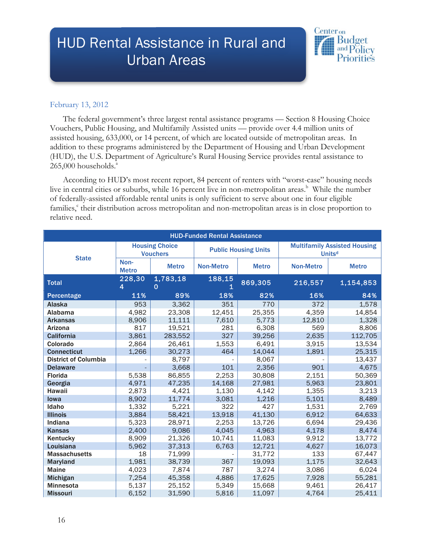# HUD Rental Assistance in Rural and Urban Areas



# February 13, 2012

The federal government's three largest rental assistance programs — Section 8 Housing Choice Vouchers, Public Housing, and Multifamily Assisted units — provide over 4.4 million units of assisted housing, 633,000, or 14 percent, of which are located outside of metropolitan areas. In addition to these programs administered by the Department of Housing and Urban Development (HUD), the U.S. Department of Agriculture's Rural Housing Service provides rental assistance to 265,000 households.<sup>a</sup>

According to HUD's most recent report, 84 percent of renters with "worst-case" housing needs live in central cities or suburbs, while 16 percent live in non-metropolitan areas.<sup>b</sup> While the number of federally-assisted affordable rental units is only sufficient to serve about one in four eligible families, their distribution across metropolitan and non-metropolitan areas is in close proportion to relative need.

| <b>HUD-Funded Rental Assistance</b> |                                          |               |                             |              |                                                      |              |  |  |  |  |
|-------------------------------------|------------------------------------------|---------------|-----------------------------|--------------|------------------------------------------------------|--------------|--|--|--|--|
| <b>State</b>                        | <b>Housing Choice</b><br><b>Vouchers</b> |               | <b>Public Housing Units</b> |              | <b>Multifamily Assisted Housing</b><br><b>Unitsd</b> |              |  |  |  |  |
|                                     | Non-<br><b>Metro</b>                     | <b>Metro</b>  | <b>Non-Metro</b>            | <b>Metro</b> | <b>Non-Metro</b>                                     | <b>Metro</b> |  |  |  |  |
| <b>Total</b>                        | 228,30<br>4                              | 1,783,18<br>0 | 188,15                      | 869,305      | 216,557                                              | 1,154,853    |  |  |  |  |
| Percentage                          | 11%                                      | 89%           | 18%                         | 82%          | 16%                                                  | 84%          |  |  |  |  |
| <b>Alaska</b>                       | 953                                      | 3,362         | 351                         | 770          | 372                                                  | 1,578        |  |  |  |  |
| <b>Alabama</b>                      | 4,982                                    | 23,308        | 12,451                      | 25,355       | 4,359                                                | 14,854       |  |  |  |  |
| <b>Arkansas</b>                     | 8,906                                    | 11,111        | 7,610                       | 5,773        | 12,810                                               | 1,328        |  |  |  |  |
| <b>Arizona</b>                      | 817                                      | 19,521        | 281                         | 6,308        | 569                                                  | 8,806        |  |  |  |  |
| California                          | 3,861                                    | 283,552       | 327                         | 39,256       | 2,635                                                | 112,705      |  |  |  |  |
| Colorado                            | 2,864                                    | 26,461        | 1,553                       | 6,491        | 3,915                                                | 13,534       |  |  |  |  |
| <b>Connecticut</b>                  | 1,266                                    | 30,273        | 464                         | 14,044       | 1,891                                                | 25,315       |  |  |  |  |
| <b>District of Columbia</b>         |                                          | 8,797         |                             | 8,067        |                                                      | 13,437       |  |  |  |  |
| <b>Delaware</b>                     |                                          | 3,668         | 101                         | 2,356        | 901                                                  | 4,675        |  |  |  |  |
| <b>Florida</b>                      | 5,538                                    | 86,855        | 2,253                       | 30,808       | 2,151                                                | 50,369       |  |  |  |  |
| Georgia                             | 4,971                                    | 47,235        | 14,168                      | 27,981       | 5,963                                                | 23,801       |  |  |  |  |
| Hawaii                              | 2,873                                    | 4,421         | 1,130                       | 4,142        | 1,355                                                | 3,213        |  |  |  |  |
| lowa                                | 8,902                                    | 11,774        | 3,081                       | 1,216        | 5,101                                                | 8,489        |  |  |  |  |
| Idaho                               | 1,332                                    | 5,221         | 322                         | 427          | 1,531                                                | 2,769        |  |  |  |  |
| <b>Illinois</b>                     | 3,884                                    | 58,421        | 13,918                      | 41,130       | 6,912                                                | 64,633       |  |  |  |  |
| Indiana                             | 5,323                                    | 28,971        | 2,253                       | 13,726       | 6,694                                                | 29,436       |  |  |  |  |
| Kansas                              | 2,400                                    | 9,086         | 4,045                       | 4,963        | 4,178                                                | 8,474        |  |  |  |  |
| Kentucky                            | 8,909                                    | 21,326        | 10,741                      | 11,083       | 9,912                                                | 13,772       |  |  |  |  |
| Louisiana                           | 5,962                                    | 37,313        | 6,763                       | 12,721       | 4,627                                                | 16,073       |  |  |  |  |
| <b>Massachusetts</b>                | 18                                       | 71,999        |                             | 31,772       | 133                                                  | 67,447       |  |  |  |  |
| Maryland                            | 1,981                                    | 38,739        | 367                         | 19,093       | 1,175                                                | 32,643       |  |  |  |  |
| <b>Maine</b>                        | 4,023                                    | 7,874         | 787                         | 3,274        | 3,086                                                | 6,024        |  |  |  |  |
| Michigan                            | 7,254                                    | 45,358        | 4,886                       | 17,625       | 7,928                                                | 55,281       |  |  |  |  |
| Minnesota                           | 5,137                                    | 25,152        | 5,349                       | 15,668       | 9,461                                                | 26,417       |  |  |  |  |
| <b>Missouri</b>                     | 6,152                                    | 31,590        | 5,816                       | 11,097       | 4,764                                                | 25,411       |  |  |  |  |